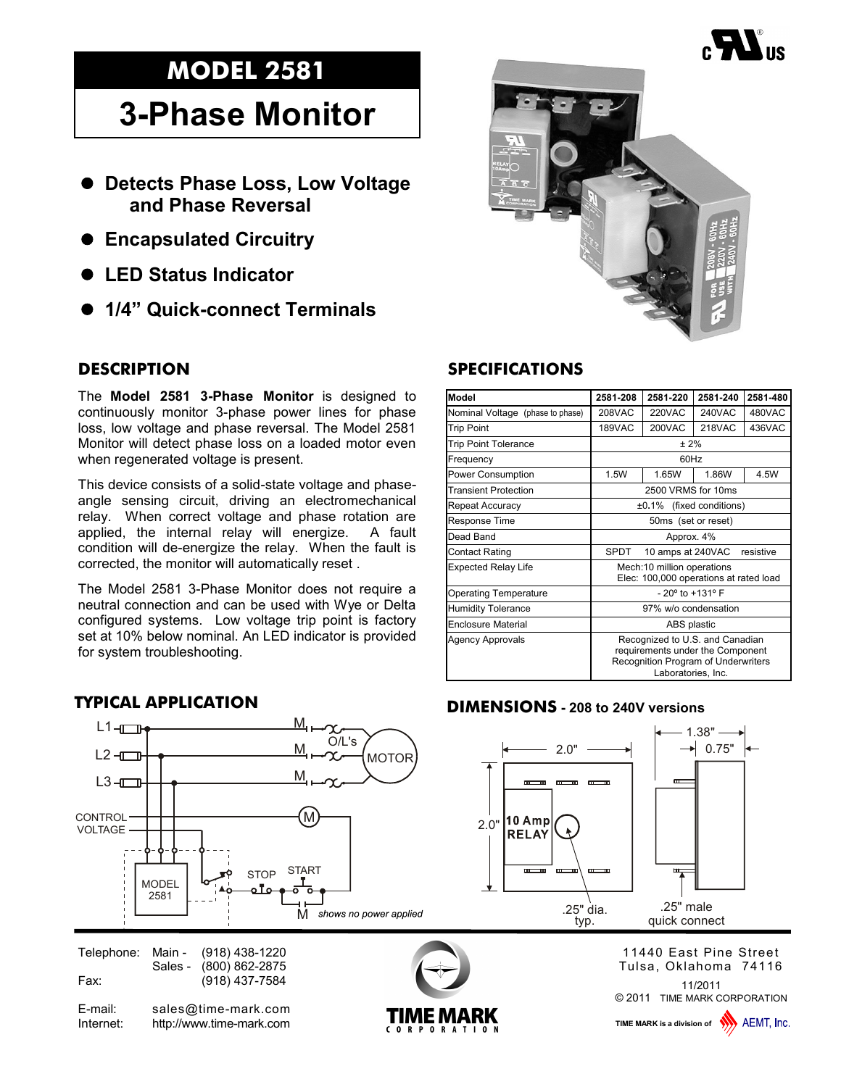## **MODEL 2581**

## **3-Phase Monitor**

- **Detects Phase Loss, Low Voltage and Phase Reversal**
- **Encapsulated Circuitry**
- **LED Status Indicator**
- **1/4" Quick-connect Terminals**

## **DESCRIPTION**

The **Model 2581 3-Phase Monitor** is designed to continuously monitor 3-phase power lines for phase loss, low voltage and phase reversal. The Model 2581 Monitor will detect phase loss on a loaded motor even when regenerated voltage is present.

This device consists of a solid-state voltage and phaseangle sensing circuit, driving an electromechanical relay. When correct voltage and phase rotation are applied, the internal relay will energize. A fault condition will de-energize the relay. When the fault is corrected, the monitor will automatically reset .

The Model 2581 3-Phase Monitor does not require a neutral connection and can be used with Wye or Delta configured systems. Low voltage trip point is factory set at 10% below nominal. An LED indicator is provided for system troubleshooting.



## **SPECIFICATIONS**

| Model                            | 2581-208                                                                                                                                | 2581-220          | 2581-240      | 2581-480  |
|----------------------------------|-----------------------------------------------------------------------------------------------------------------------------------------|-------------------|---------------|-----------|
| Nominal Voltage (phase to phase) | 208VAC                                                                                                                                  | 220VAC            | 240VAC        | 480VAC    |
| <b>Trip Point</b>                | 189VAC                                                                                                                                  | 200VAC            | <b>218VAC</b> | 436VAC    |
| <b>Trip Point Tolerance</b>      | ± 2%                                                                                                                                    |                   |               |           |
| Frequency                        | 60Hz                                                                                                                                    |                   |               |           |
| Power Consumption                | 1.5W                                                                                                                                    | 1.65W             | 1.86W         | 4.5W      |
| <b>Transient Protection</b>      | 2500 VRMS for 10ms                                                                                                                      |                   |               |           |
| Repeat Accuracy                  | $±0.1\%$ (fixed conditions)                                                                                                             |                   |               |           |
| Response Time                    | 50ms (set or reset)                                                                                                                     |                   |               |           |
| Dead Band                        | Approx. 4%                                                                                                                              |                   |               |           |
| Contact Rating                   | SPDT                                                                                                                                    | 10 amps at 240VAC |               | resistive |
| Expected Relay Life              | Mech:10 million operations<br>Elec: 100,000 operations at rated load                                                                    |                   |               |           |
| Operating Temperature            | $-20^{\circ}$ to $+131^{\circ}$ F                                                                                                       |                   |               |           |
| <b>Humidity Tolerance</b>        | 97% w/o condensation                                                                                                                    |                   |               |           |
| Enclosure Material               | ABS plastic                                                                                                                             |                   |               |           |
| Agency Approvals                 | Recognized to U.S. and Canadian<br>requirements under the Component<br><b>Recognition Program of Underwriters</b><br>Laboratories, Inc. |                   |               |           |

#### **DIMENSIONS - 208 to 240V versions**





11/2011 11440 East Pine Street Tulsa, Oklahoma 74116

© 2011 TIME MARK CORPORATION

**TIME MARK is a division of WAN** AEMT. Inc.





**TYPICAL APPLICATION**



E-mail: sales@time-mark.com Internet: http://www.time-mark.com